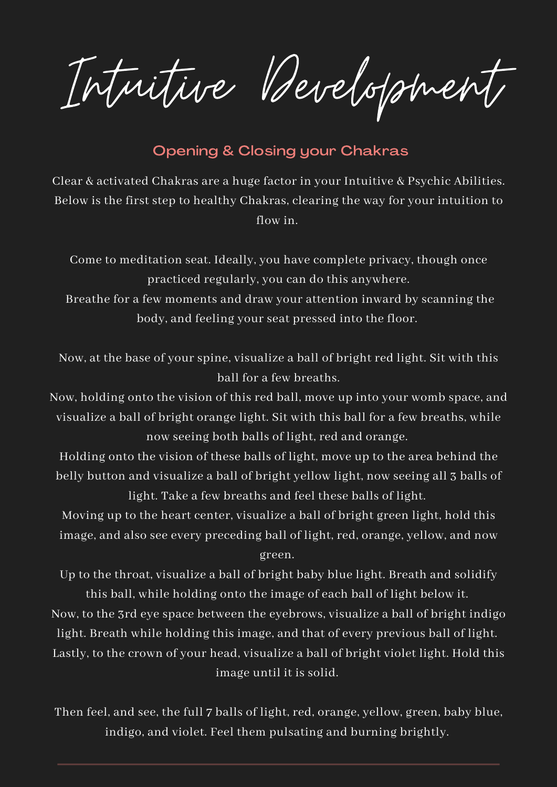Intuitive Development

## Opening & Closing your Chakras

Clear & activated Chakras are a huge factor in your Intuitive & Psychic Abilities. Below is the first step to healthy Chakras, clearing the way for your intuition to flow in.

Come to meditation seat. Ideally, you have complete privacy, though once practiced regularly, you can do this anywhere.

Breathe for a few moments and draw your attention inward by scanning the body, and feeling your seat pressed into the floor.

Now, at the base of your spine, visualize a ball of bright red light. Sit with this ball for a few breaths.

Now, holding onto the vision of this red ball, move up into your womb space, and visualize a ball of bright orange light. Sit with this ball for a few breaths, while now seeing both balls of light, red and orange.

Holding onto the vision of these balls of light, move up to the area behind the belly button and visualize a ball of bright yellow light, now seeing all 3 balls of light. Take a few breaths and feel these balls of light.

Moving up to the heart center, visualize a ball of bright green light, hold this image, and also see every preceding ball of light, red, orange, yellow, and now

green.

Up to the throat, visualize a ball of bright baby blue light. Breath and solidify this ball, while holding onto the image of each ball of light below it.

Now, to the 3rd eye space between the eyebrows, visualize a ball of bright indigo light. Breath while holding this image, and that of every previous ball of light. Lastly, to the crown of your head, visualize a ball of bright violet light. Hold this image until it is solid.

Then feel, and see, the full 7 balls of light, red, orange, yellow, green, baby blue, indigo, and violet. Feel them pulsating and burning brightly.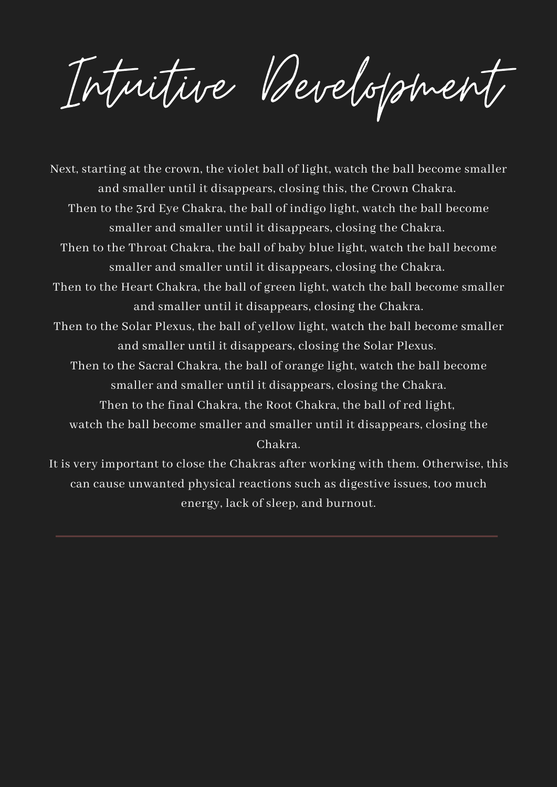Intuitive Development

Next, starting at the crown, the violet ball of light, watch the ball become smaller and smaller until it disappears, closing this, the Crown Chakra. Then to the 3rd Eye Chakra, the ball of indigo light, watch the ball become smaller and smaller until it disappears, closing the Chakra. Then to the Throat Chakra, the ball of baby blue light, watch the ball become smaller and smaller until it disappears, closing the Chakra. Then to the Heart Chakra, the ball of green light, watch the ball become smaller and smaller until it disappears, closing the Chakra. Then to the Solar Plexus, the ball of yellow light, watch the ball become smaller and smaller until it disappears, closing the Solar Plexus. Then to the Sacral Chakra, the ball of orange light, watch the ball become smaller and smaller until it disappears, closing the Chakra. Then to the final Chakra, the Root Chakra, the ball of red light, watch the ball become smaller and smaller until it disappears, closing the Chakra. It is very important to close the Chakras after working with them. Otherwise, this can cause unwanted physical reactions such as digestive issues, too much

energy, lack of sleep, and burnout.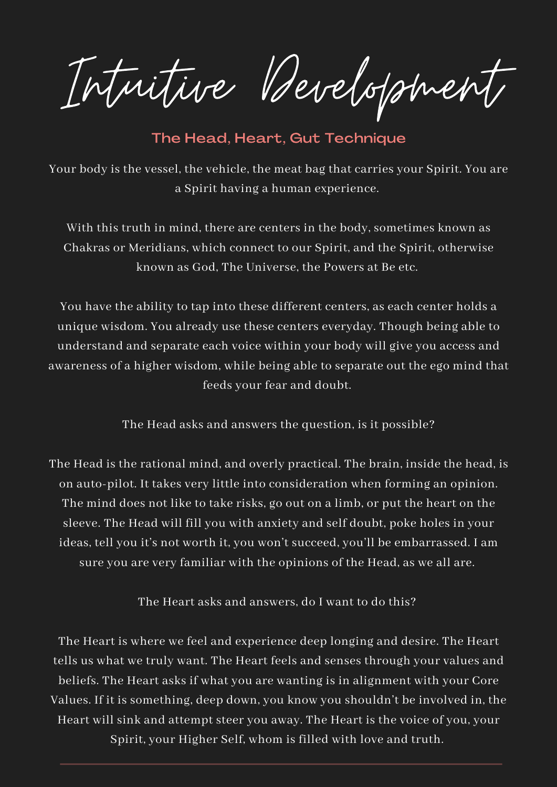Intuitive Development

The Head, Heart, Gut Technique

Your body is the vessel, the vehicle, the meat bag that carries your Spirit. You are a Spirit having a human experience.

With this truth in mind, there are centers in the body, sometimes known as Chakras or Meridians, which connect to our Spirit, and the Spirit, otherwise known as God, The Universe, the Powers at Be etc.

You have the ability to tap into these different centers, as each center holds a unique wisdom. You already use these centers everyday. Though being able to understand and separate each voice within your body will give you access and awareness of a higher wisdom, while being able to separate out the ego mind that feeds your fear and doubt.

The Head asks and answers the question, is it possible?

The Head is the rational mind, and overly practical. The brain, inside the head, is on auto-pilot. It takes very little into consideration when forming an opinion. The mind does not like to take risks, go out on a limb, or put the heart on the sleeve. The Head will fill you with anxiety and self doubt, poke holes in your ideas, tell you it's not worth it, you won't succeed, you'll be embarrassed. I am sure you are very familiar with the opinions of the Head, as we all are.

The Heart asks and answers, do I want to do this?

The Heart is where we feel and experience deep longing and desire. The Heart tells us what we truly want. The Heart feels and senses through your values and beliefs. The Heart asks if what you are wanting is in alignment with your Core Values. If it is something, deep down, you know you shouldn't be involved in, the Heart will sink and attempt steer you away. The Heart is the voice of you, your Spirit, your Higher Self, whom is filled with love and truth.